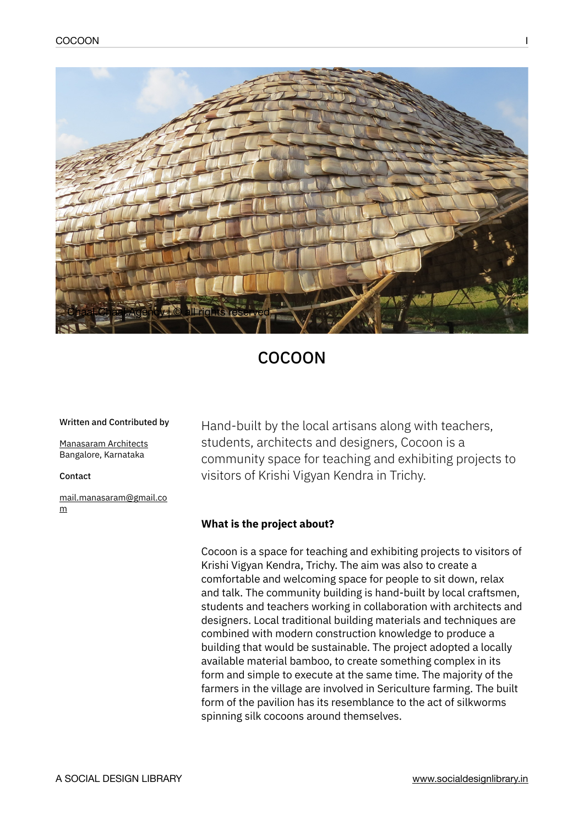

# COCOON

#### Written and Contributed by

[Manasaram Architects](https://www.manasaramarchitects.com/) Bangalore, Karnataka

#### Contact

[mail.manasaram@gmail.co](mailto:mail.manasaram@gmail.com) [m](mailto:mail.manasaram@gmail.com)

Hand-built by the local artisans along with teachers, students, architects and designers, Cocoon is a community space for teaching and exhibiting projects to visitors of Krishi Vigyan Kendra in Trichy.

## **What is the project about?**

Cocoon is a space for teaching and exhibiting projects to visitors of Krishi Vigyan Kendra, Trichy. The aim was also to create a comfortable and welcoming space for people to sit down, relax and talk. The community building is hand-built by local craftsmen, students and teachers working in collaboration with architects and designers. Local traditional building materials and techniques are combined with modern construction knowledge to produce a building that would be sustainable. The project adopted a locally available material bamboo, to create something complex in its form and simple to execute at the same time. The majority of the farmers in the village are involved in Sericulture farming. The built form of the pavilion has its resemblance to the act of silkworms spinning silk cocoons around themselves.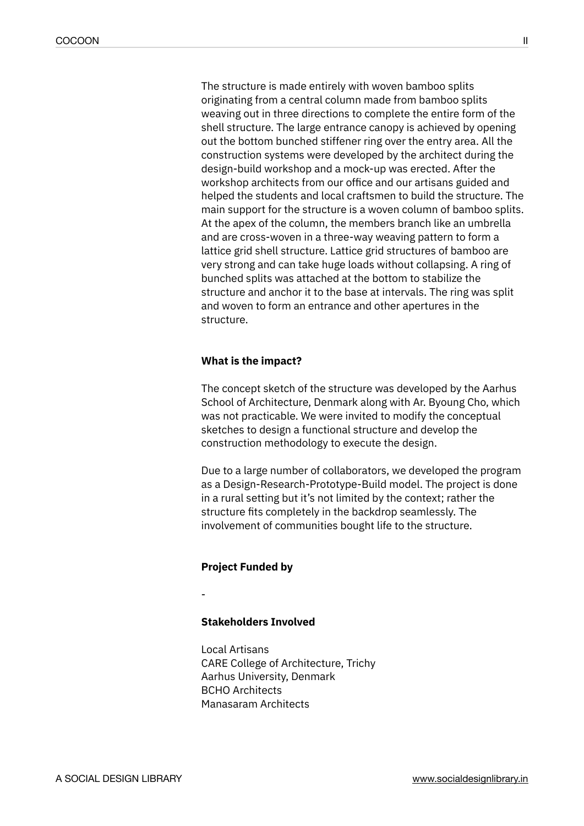The structure is made entirely with woven bamboo splits originating from a central column made from bamboo splits weaving out in three directions to complete the entire form of the shell structure. The large entrance canopy is achieved by opening out the bottom bunched stiffener ring over the entry area. All the construction systems were developed by the architect during the design-build workshop and a mock-up was erected. After the workshop architects from our office and our artisans guided and helped the students and local craftsmen to build the structure. The main support for the structure is a woven column of bamboo splits. At the apex of the column, the members branch like an umbrella and are cross-woven in a three-way weaving pattern to form a lattice grid shell structure. Lattice grid structures of bamboo are very strong and can take huge loads without collapsing. A ring of bunched splits was attached at the bottom to stabilize the structure and anchor it to the base at intervals. The ring was split and woven to form an entrance and other apertures in the structure.

### **What is the impact?**

The concept sketch of the structure was developed by the Aarhus School of Architecture, Denmark along with Ar. Byoung Cho, which was not practicable. We were invited to modify the conceptual sketches to design a functional structure and develop the construction methodology to execute the design.

Due to a large number of collaborators, we developed the program as a Design-Research-Prototype-Build model. The project is done in a rural setting but it's not limited by the context; rather the structure fits completely in the backdrop seamlessly. The involvement of communities bought life to the structure.

#### **Project Funded by**

-

# **Stakeholders Involved**

Local Artisans CARE College of Architecture, Trichy Aarhus University, Denmark BCHO Architects Manasaram Architects